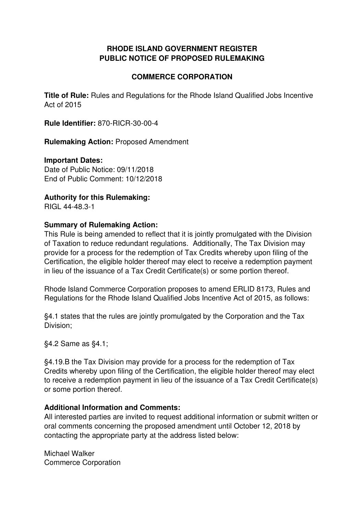#### **RHODE ISLAND GOVERNMENT REGISTER PUBLIC NOTICE OF PROPOSED RULEMAKING**

#### **COMMERCE CORPORATION**

**Title of Rule:** Rules and Regulations for the Rhode Island Qualified Jobs Incentive Act of 2015

**Rule Identifier:** 870-RICR-30-00-4

**Rulemaking Action:** Proposed Amendment

#### **Important Dates:**

Date of Public Notice: 09/11/2018 End of Public Comment: 10/12/2018

**Authority for this Rulemaking:**

RIGL 44-48.3-1

#### **Summary of Rulemaking Action:**

This Rule is being amended to reflect that it is jointly promulgated with the Division of Taxation to reduce redundant regulations. Additionally, The Tax Division may provide for a process for the redemption of Tax Credits whereby upon filing of the Certification, the eligible holder thereof may elect to receive a redemption payment in lieu of the issuance of a Tax Credit Certificate(s) or some portion thereof.

Rhode Island Commerce Corporation proposes to amend ERLID 8173, Rules and Regulations for the Rhode Island Qualified Jobs Incentive Act of 2015, as follows:

§4.1 states that the rules are jointly promulgated by the Corporation and the Tax Division;

§4.2 Same as §4.1;

§4.19.B the Tax Division may provide for a process for the redemption of Tax Credits whereby upon filing of the Certification, the eligible holder thereof may elect to receive a redemption payment in lieu of the issuance of a Tax Credit Certificate(s) or some portion thereof.

#### **Additional Information and Comments:**

All interested parties are invited to request additional information or submit written or oral comments concerning the proposed amendment until October 12, 2018 by contacting the appropriate party at the address listed below:

Michael Walker Commerce Corporation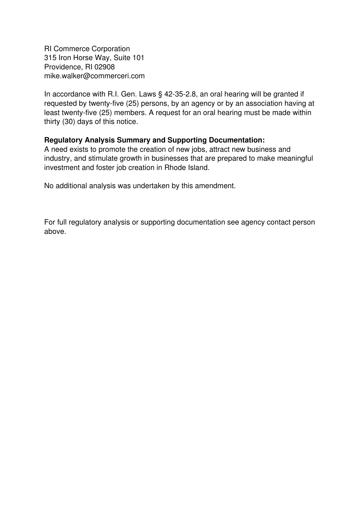RI Commerce Corporation 315 Iron Horse Way, Suite 101 Providence, RI 02908 mike.walker@commerceri.com

In accordance with R.I. Gen. Laws § 42-35-2.8, an oral hearing will be granted if requested by twenty-five (25) persons, by an agency or by an association having at least twenty-five (25) members. A request for an oral hearing must be made within thirty (30) days of this notice.

#### **Regulatory Analysis Summary and Supporting Documentation:**

A need exists to promote the creation of new jobs, attract new business and industry, and stimulate growth in businesses that are prepared to make meaningful investment and foster job creation in Rhode Island.

No additional analysis was undertaken by this amendment.

For full regulatory analysis or supporting documentation see agency contact person above.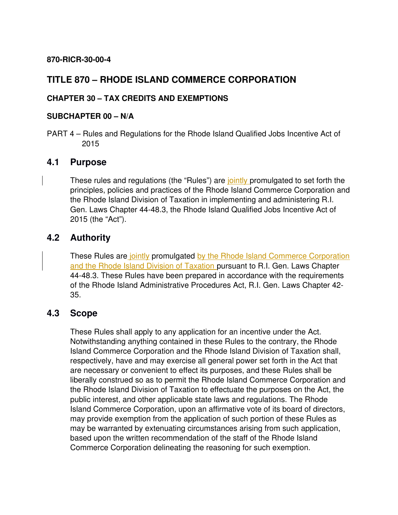#### **870-RICR-30-00-4**

## **TITLE 870 – RHODE ISLAND COMMERCE CORPORATION**

#### **CHAPTER 30 – TAX CREDITS AND EXEMPTIONS**

#### **SUBCHAPTER 00 – N/A**

PART 4 – Rules and Regulations for the Rhode Island Qualified Jobs Incentive Act of 2015

### **4.1 Purpose**

These rules and regulations (the "Rules") are jointly promulgated to set forth the principles, policies and practices of the Rhode Island Commerce Corporation and the Rhode Island Division of Taxation in implementing and administering R.I. Gen. Laws Chapter 44-48.3, the Rhode Island Qualified Jobs Incentive Act of 2015 (the "Act").

### **4.2 Authority**

These Rules are jointly promulgated by the Rhode Island Commerce Corporation and the Rhode Island Division of Taxation pursuant to R.I. Gen. Laws Chapter 44-48.3. These Rules have been prepared in accordance with the requirements of the Rhode Island Administrative Procedures Act, R.I. Gen. Laws Chapter 42- 35.

#### **4.3 Scope**

These Rules shall apply to any application for an incentive under the Act. Notwithstanding anything contained in these Rules to the contrary, the Rhode Island Commerce Corporation and the Rhode Island Division of Taxation shall, respectively, have and may exercise all general power set forth in the Act that are necessary or convenient to effect its purposes, and these Rules shall be liberally construed so as to permit the Rhode Island Commerce Corporation and the Rhode Island Division of Taxation to effectuate the purposes on the Act, the public interest, and other applicable state laws and regulations. The Rhode Island Commerce Corporation, upon an affirmative vote of its board of directors, may provide exemption from the application of such portion of these Rules as may be warranted by extenuating circumstances arising from such application, based upon the written recommendation of the staff of the Rhode Island Commerce Corporation delineating the reasoning for such exemption.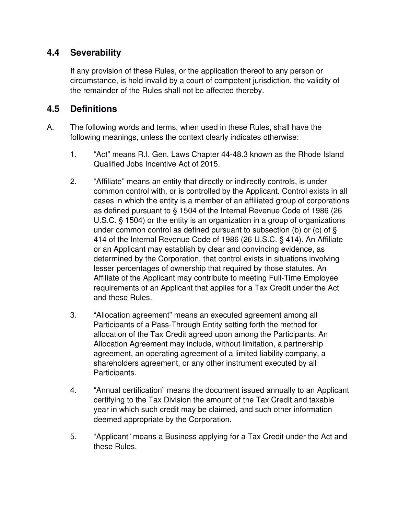# **4.4 Severability**

If any provision of these Rules, or the application thereof to any person or circumstance, is held invalid by a court of competent jurisdiction, the validity of the remainder of the Rules shall not be affected thereby.

### **4.5 Definitions**

- A. The following words and terms, when used in these Rules, shall have the following meanings, unless the context clearly indicates otherwise:
	- 1. "Act" means R.I. Gen. Laws Chapter 44-48.3 known as the Rhode Island Qualified Jobs Incentive Act of 2015.
	- 2. "Affiliate" means an entity that directly or indirectly controls, is under common control with, or is controlled by the Applicant. Control exists in all cases in which the entity is a member of an affiliated group of corporations as defined pursuant to § 1504 of the Internal Revenue Code of 1986 (26 U.S.C. § 1504) or the entity is an organization in a group of organizations under common control as defined pursuant to subsection (b) or (c) of § 414 of the Internal Revenue Code of 1986 (26 U.S.C. § 414). An Affiliate or an Applicant may establish by clear and convincing evidence, as determined by the Corporation, that control exists in situations involving lesser percentages of ownership that required by those statutes. An Affiliate of the Applicant may contribute to meeting Full-Time Employee requirements of an Applicant that applies for a Tax Credit under the Act and these Rules.
	- 3. "Allocation agreement" means an executed agreement among all Participants of a Pass-Through Entity setting forth the method for allocation of the Tax Credit agreed upon among the Participants. An Allocation Agreement may include, without limitation, a partnership agreement, an operating agreement of a limited liability company, a shareholders agreement, or any other instrument executed by all Participants.
	- 4. "Annual certification" means the document issued annually to an Applicant certifying to the Tax Division the amount of the Tax Credit and taxable year in which such credit may be claimed, and such other information deemed appropriate by the Corporation.
	- 5. "Applicant" means a Business applying for a Tax Credit under the Act and these Rules.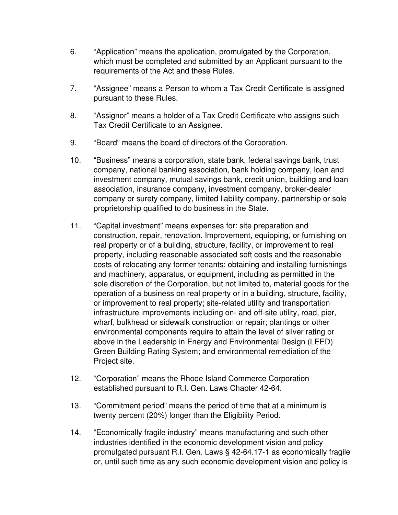- 6. "Application" means the application, promulgated by the Corporation, which must be completed and submitted by an Applicant pursuant to the requirements of the Act and these Rules.
- 7. "Assignee" means a Person to whom a Tax Credit Certificate is assigned pursuant to these Rules.
- 8. "Assignor" means a holder of a Tax Credit Certificate who assigns such Tax Credit Certificate to an Assignee.
- 9. "Board" means the board of directors of the Corporation.
- 10. "Business" means a corporation, state bank, federal savings bank, trust company, national banking association, bank holding company, loan and investment company, mutual savings bank, credit union, building and loan association, insurance company, investment company, broker-dealer company or surety company, limited liability company, partnership or sole proprietorship qualified to do business in the State.
- 11. "Capital investment" means expenses for: site preparation and construction, repair, renovation. Improvement, equipping, or furnishing on real property or of a building, structure, facility, or improvement to real property, including reasonable associated soft costs and the reasonable costs of relocating any former tenants; obtaining and installing furnishings and machinery, apparatus, or equipment, including as permitted in the sole discretion of the Corporation, but not limited to, material goods for the operation of a business on real property or in a building, structure, facility, or improvement to real property; site-related utility and transportation infrastructure improvements including on- and off-site utility, road, pier, wharf, bulkhead or sidewalk construction or repair; plantings or other environmental components require to attain the level of silver rating or above in the Leadership in Energy and Environmental Design (LEED) Green Building Rating System; and environmental remediation of the Project site.
- 12. "Corporation" means the Rhode Island Commerce Corporation established pursuant to R.I. Gen. Laws Chapter 42-64.
- 13. "Commitment period" means the period of time that at a minimum is twenty percent (20%) longer than the Eligibility Period.
- 14. "Economically fragile industry" means manufacturing and such other industries identified in the economic development vision and policy promulgated pursuant R.I. Gen. Laws § 42-64.17-1 as economically fragile or, until such time as any such economic development vision and policy is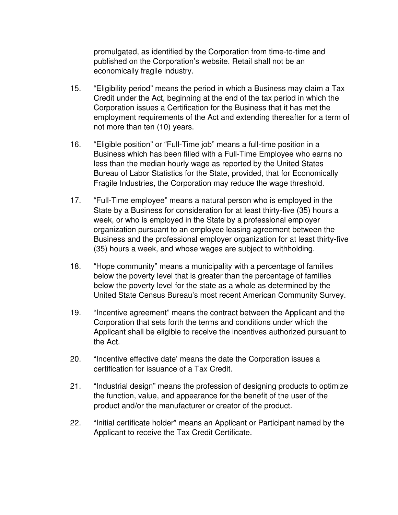promulgated, as identified by the Corporation from time-to-time and published on the Corporation's website. Retail shall not be an economically fragile industry.

- 15. "Eligibility period" means the period in which a Business may claim a Tax Credit under the Act, beginning at the end of the tax period in which the Corporation issues a Certification for the Business that it has met the employment requirements of the Act and extending thereafter for a term of not more than ten (10) years.
- 16. "Eligible position" or "Full-Time job" means a full-time position in a Business which has been filled with a Full-Time Employee who earns no less than the median hourly wage as reported by the United States Bureau of Labor Statistics for the State, provided, that for Economically Fragile Industries, the Corporation may reduce the wage threshold.
- 17. "Full-Time employee" means a natural person who is employed in the State by a Business for consideration for at least thirty-five (35) hours a week, or who is employed in the State by a professional employer organization pursuant to an employee leasing agreement between the Business and the professional employer organization for at least thirty-five (35) hours a week, and whose wages are subject to withholding.
- 18. "Hope community" means a municipality with a percentage of families below the poverty level that is greater than the percentage of families below the poverty level for the state as a whole as determined by the United State Census Bureau's most recent American Community Survey.
- 19. "Incentive agreement" means the contract between the Applicant and the Corporation that sets forth the terms and conditions under which the Applicant shall be eligible to receive the incentives authorized pursuant to the Act.
- 20. "Incentive effective date' means the date the Corporation issues a certification for issuance of a Tax Credit.
- 21. "Industrial design" means the profession of designing products to optimize the function, value, and appearance for the benefit of the user of the product and/or the manufacturer or creator of the product.
- 22. "Initial certificate holder" means an Applicant or Participant named by the Applicant to receive the Tax Credit Certificate.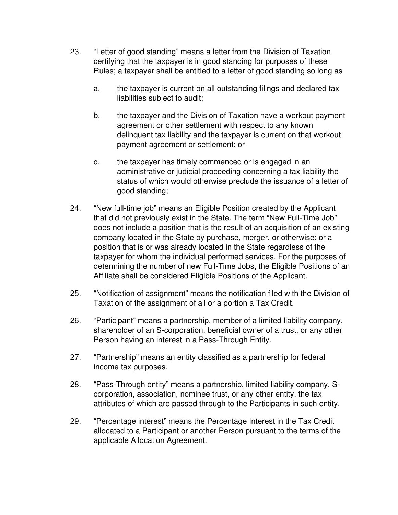- 23. "Letter of good standing" means a letter from the Division of Taxation certifying that the taxpayer is in good standing for purposes of these Rules; a taxpayer shall be entitled to a letter of good standing so long as
	- a. the taxpayer is current on all outstanding filings and declared tax liabilities subject to audit;
	- b. the taxpayer and the Division of Taxation have a workout payment agreement or other settlement with respect to any known delinquent tax liability and the taxpayer is current on that workout payment agreement or settlement; or
	- c. the taxpayer has timely commenced or is engaged in an administrative or judicial proceeding concerning a tax liability the status of which would otherwise preclude the issuance of a letter of good standing;
- 24. "New full-time job" means an Eligible Position created by the Applicant that did not previously exist in the State. The term "New Full-Time Job" does not include a position that is the result of an acquisition of an existing company located in the State by purchase, merger, or otherwise; or a position that is or was already located in the State regardless of the taxpayer for whom the individual performed services. For the purposes of determining the number of new Full-Time Jobs, the Eligible Positions of an Affiliate shall be considered Eligible Positions of the Applicant.
- 25. "Notification of assignment" means the notification filed with the Division of Taxation of the assignment of all or a portion a Tax Credit.
- 26. "Participant" means a partnership, member of a limited liability company, shareholder of an S-corporation, beneficial owner of a trust, or any other Person having an interest in a Pass-Through Entity.
- 27. "Partnership" means an entity classified as a partnership for federal income tax purposes.
- 28. "Pass-Through entity" means a partnership, limited liability company, Scorporation, association, nominee trust, or any other entity, the tax attributes of which are passed through to the Participants in such entity.
- 29. "Percentage interest" means the Percentage Interest in the Tax Credit allocated to a Participant or another Person pursuant to the terms of the applicable Allocation Agreement.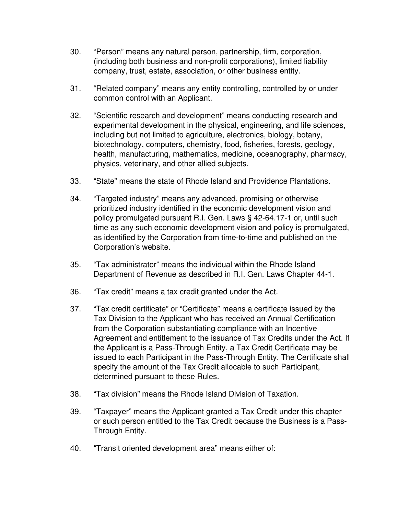- 30. "Person" means any natural person, partnership, firm, corporation, (including both business and non-profit corporations), limited liability company, trust, estate, association, or other business entity.
- 31. "Related company" means any entity controlling, controlled by or under common control with an Applicant.
- 32. "Scientific research and development" means conducting research and experimental development in the physical, engineering, and life sciences, including but not limited to agriculture, electronics, biology, botany, biotechnology, computers, chemistry, food, fisheries, forests, geology, health, manufacturing, mathematics, medicine, oceanography, pharmacy, physics, veterinary, and other allied subjects.
- 33. "State" means the state of Rhode Island and Providence Plantations.
- 34. "Targeted industry" means any advanced, promising or otherwise prioritized industry identified in the economic development vision and policy promulgated pursuant R.I. Gen. Laws § 42-64.17-1 or, until such time as any such economic development vision and policy is promulgated, as identified by the Corporation from time-to-time and published on the Corporation's website.
- 35. "Tax administrator" means the individual within the Rhode Island Department of Revenue as described in R.I. Gen. Laws Chapter 44-1.
- 36. "Tax credit" means a tax credit granted under the Act.
- 37. "Tax credit certificate" or "Certificate" means a certificate issued by the Tax Division to the Applicant who has received an Annual Certification from the Corporation substantiating compliance with an Incentive Agreement and entitlement to the issuance of Tax Credits under the Act. If the Applicant is a Pass-Through Entity, a Tax Credit Certificate may be issued to each Participant in the Pass-Through Entity. The Certificate shall specify the amount of the Tax Credit allocable to such Participant, determined pursuant to these Rules.
- 38. "Tax division" means the Rhode Island Division of Taxation.
- 39. "Taxpayer" means the Applicant granted a Tax Credit under this chapter or such person entitled to the Tax Credit because the Business is a Pass-Through Entity.
- 40. "Transit oriented development area" means either of: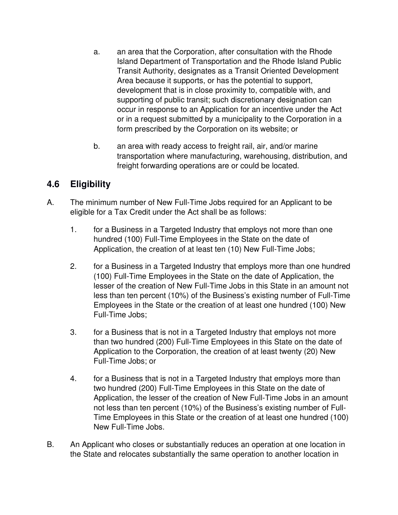- a. an area that the Corporation, after consultation with the Rhode Island Department of Transportation and the Rhode Island Public Transit Authority, designates as a Transit Oriented Development Area because it supports, or has the potential to support, development that is in close proximity to, compatible with, and supporting of public transit; such discretionary designation can occur in response to an Application for an incentive under the Act or in a request submitted by a municipality to the Corporation in a form prescribed by the Corporation on its website; or
- b. an area with ready access to freight rail, air, and/or marine transportation where manufacturing, warehousing, distribution, and freight forwarding operations are or could be located.

# **4.6 Eligibility**

- A. The minimum number of New Full-Time Jobs required for an Applicant to be eligible for a Tax Credit under the Act shall be as follows:
	- 1. for a Business in a Targeted Industry that employs not more than one hundred (100) Full-Time Employees in the State on the date of Application, the creation of at least ten (10) New Full-Time Jobs;
	- 2. for a Business in a Targeted Industry that employs more than one hundred (100) Full-Time Employees in the State on the date of Application, the lesser of the creation of New Full-Time Jobs in this State in an amount not less than ten percent (10%) of the Business's existing number of Full-Time Employees in the State or the creation of at least one hundred (100) New Full-Time Jobs;
	- 3. for a Business that is not in a Targeted Industry that employs not more than two hundred (200) Full-Time Employees in this State on the date of Application to the Corporation, the creation of at least twenty (20) New Full-Time Jobs; or
	- 4. for a Business that is not in a Targeted Industry that employs more than two hundred (200) Full-Time Employees in this State on the date of Application, the lesser of the creation of New Full-Time Jobs in an amount not less than ten percent (10%) of the Business's existing number of Full-Time Employees in this State or the creation of at least one hundred (100) New Full-Time Jobs.
- B. An Applicant who closes or substantially reduces an operation at one location in the State and relocates substantially the same operation to another location in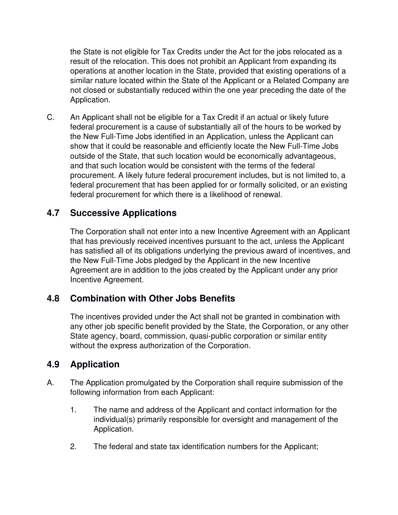the State is not eligible for Tax Credits under the Act for the jobs relocated as a result of the relocation. This does not prohibit an Applicant from expanding its operations at another location in the State, provided that existing operations of a similar nature located within the State of the Applicant or a Related Company are not closed or substantially reduced within the one year preceding the date of the Application.

C. An Applicant shall not be eligible for a Tax Credit if an actual or likely future federal procurement is a cause of substantially all of the hours to be worked by the New Full-Time Jobs identified in an Application, unless the Applicant can show that it could be reasonable and efficiently locate the New Full-Time Jobs outside of the State, that such location would be economically advantageous, and that such location would be consistent with the terms of the federal procurement. A likely future federal procurement includes, but is not limited to, a federal procurement that has been applied for or formally solicited, or an existing federal procurement for which there is a likelihood of renewal.

## **4.7 Successive Applications**

The Corporation shall not enter into a new Incentive Agreement with an Applicant that has previously received incentives pursuant to the act, unless the Applicant has satisfied all of its obligations underlying the previous award of incentives, and the New Full-Time Jobs pledged by the Applicant in the new Incentive Agreement are in addition to the jobs created by the Applicant under any prior Incentive Agreement.

## **4.8 Combination with Other Jobs Benefits**

The incentives provided under the Act shall not be granted in combination with any other job specific benefit provided by the State, the Corporation, or any other State agency, board, commission, quasi-public corporation or similar entity without the express authorization of the Corporation.

# **4.9 Application**

- A. The Application promulgated by the Corporation shall require submission of the following information from each Applicant:
	- 1. The name and address of the Applicant and contact information for the individual(s) primarily responsible for oversight and management of the Application.
	- 2. The federal and state tax identification numbers for the Applicant;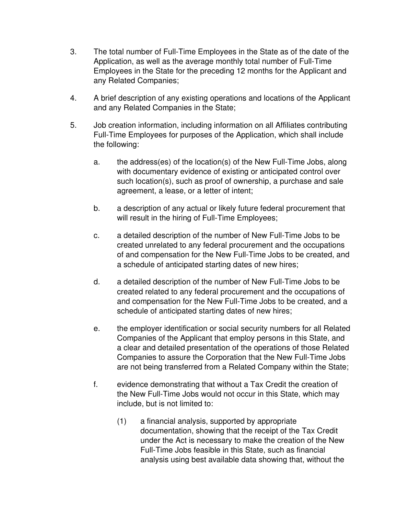- 3. The total number of Full-Time Employees in the State as of the date of the Application, as well as the average monthly total number of Full-Time Employees in the State for the preceding 12 months for the Applicant and any Related Companies;
- 4. A brief description of any existing operations and locations of the Applicant and any Related Companies in the State;
- 5. Job creation information, including information on all Affiliates contributing Full-Time Employees for purposes of the Application, which shall include the following:
	- a. the address(es) of the location(s) of the New Full-Time Jobs, along with documentary evidence of existing or anticipated control over such location(s), such as proof of ownership, a purchase and sale agreement, a lease, or a letter of intent;
	- b. a description of any actual or likely future federal procurement that will result in the hiring of Full-Time Employees;
	- c. a detailed description of the number of New Full-Time Jobs to be created unrelated to any federal procurement and the occupations of and compensation for the New Full-Time Jobs to be created, and a schedule of anticipated starting dates of new hires;
	- d. a detailed description of the number of New Full-Time Jobs to be created related to any federal procurement and the occupations of and compensation for the New Full-Time Jobs to be created, and a schedule of anticipated starting dates of new hires;
	- e. the employer identification or social security numbers for all Related Companies of the Applicant that employ persons in this State, and a clear and detailed presentation of the operations of those Related Companies to assure the Corporation that the New Full-Time Jobs are not being transferred from a Related Company within the State;
	- f. evidence demonstrating that without a Tax Credit the creation of the New Full-Time Jobs would not occur in this State, which may include, but is not limited to:
		- (1) a financial analysis, supported by appropriate documentation, showing that the receipt of the Tax Credit under the Act is necessary to make the creation of the New Full-Time Jobs feasible in this State, such as financial analysis using best available data showing that, without the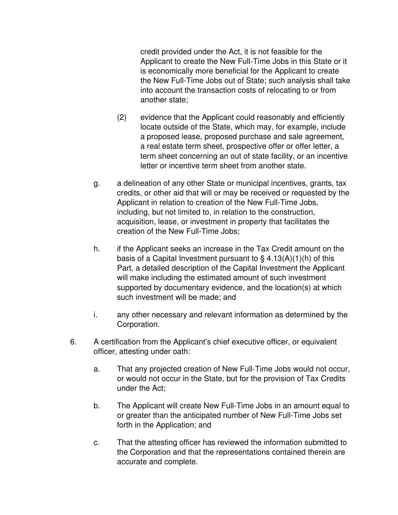credit provided under the Act, it is not feasible for the Applicant to create the New Full-Time Jobs in this State or it is economically more beneficial for the Applicant to create the New Full-Time Jobs out of State; such analysis shall take into account the transaction costs of relocating to or from another state;

- (2) evidence that the Applicant could reasonably and efficiently locate outside of the State, which may, for example, include a proposed lease, proposed purchase and sale agreement, a real estate term sheet, prospective offer or offer letter, a term sheet concerning an out of state facility, or an incentive letter or incentive term sheet from another state.
- g. a delineation of any other State or municipal incentives, grants, tax credits, or other aid that will or may be received or requested by the Applicant in relation to creation of the New Full-Time Jobs, including, but not limited to, in relation to the construction, acquisition, lease, or investment in property that facilitates the creation of the New Full-Time Jobs;
- h. if the Applicant seeks an increase in the Tax Credit amount on the basis of a Capital Investment pursuant to  $\S$  4.13(A)(1)(h) of this Part, a detailed description of the Capital Investment the Applicant will make including the estimated amount of such investment supported by documentary evidence, and the location(s) at which such investment will be made; and
- i. any other necessary and relevant information as determined by the Corporation.
- 6. A certification from the Applicant's chief executive officer, or equivalent officer, attesting under oath:
	- a. That any projected creation of New Full-Time Jobs would not occur, or would not occur in the State, but for the provision of Tax Credits under the Act;
	- b. The Applicant will create New Full-Time Jobs in an amount equal to or greater than the anticipated number of New Full-Time Jobs set forth in the Application; and
	- c. That the attesting officer has reviewed the information submitted to the Corporation and that the representations contained therein are accurate and complete.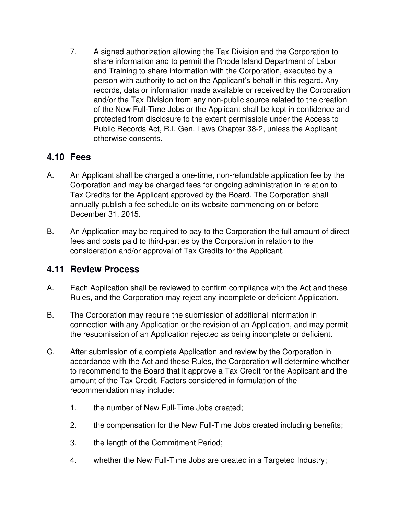7. A signed authorization allowing the Tax Division and the Corporation to share information and to permit the Rhode Island Department of Labor and Training to share information with the Corporation, executed by a person with authority to act on the Applicant's behalf in this regard. Any records, data or information made available or received by the Corporation and/or the Tax Division from any non-public source related to the creation of the New Full-Time Jobs or the Applicant shall be kept in confidence and protected from disclosure to the extent permissible under the Access to Public Records Act, R.I. Gen. Laws Chapter 38-2, unless the Applicant otherwise consents.

## **4.10 Fees**

- A. An Applicant shall be charged a one-time, non-refundable application fee by the Corporation and may be charged fees for ongoing administration in relation to Tax Credits for the Applicant approved by the Board. The Corporation shall annually publish a fee schedule on its website commencing on or before December 31, 2015.
- B. An Application may be required to pay to the Corporation the full amount of direct fees and costs paid to third-parties by the Corporation in relation to the consideration and/or approval of Tax Credits for the Applicant.

## **4.11 Review Process**

- A. Each Application shall be reviewed to confirm compliance with the Act and these Rules, and the Corporation may reject any incomplete or deficient Application.
- B. The Corporation may require the submission of additional information in connection with any Application or the revision of an Application, and may permit the resubmission of an Application rejected as being incomplete or deficient.
- C. After submission of a complete Application and review by the Corporation in accordance with the Act and these Rules, the Corporation will determine whether to recommend to the Board that it approve a Tax Credit for the Applicant and the amount of the Tax Credit. Factors considered in formulation of the recommendation may include:
	- 1. the number of New Full-Time Jobs created;
	- 2. the compensation for the New Full-Time Jobs created including benefits;
	- 3. the length of the Commitment Period;
	- 4. whether the New Full-Time Jobs are created in a Targeted Industry;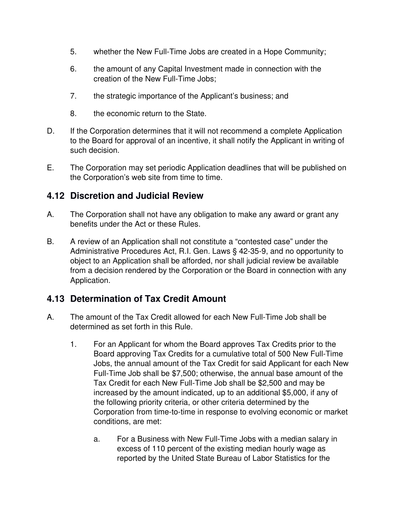- 5. whether the New Full-Time Jobs are created in a Hope Community;
- 6. the amount of any Capital Investment made in connection with the creation of the New Full-Time Jobs;
- 7. the strategic importance of the Applicant's business; and
- 8. the economic return to the State.
- D. If the Corporation determines that it will not recommend a complete Application to the Board for approval of an incentive, it shall notify the Applicant in writing of such decision.
- E. The Corporation may set periodic Application deadlines that will be published on the Corporation's web site from time to time.

### **4.12 Discretion and Judicial Review**

- A. The Corporation shall not have any obligation to make any award or grant any benefits under the Act or these Rules.
- B. A review of an Application shall not constitute a "contested case" under the Administrative Procedures Act, R.I. Gen. Laws § 42-35-9, and no opportunity to object to an Application shall be afforded, nor shall judicial review be available from a decision rendered by the Corporation or the Board in connection with any Application.

## **4.13 Determination of Tax Credit Amount**

- A. The amount of the Tax Credit allowed for each New Full-Time Job shall be determined as set forth in this Rule.
	- 1. For an Applicant for whom the Board approves Tax Credits prior to the Board approving Tax Credits for a cumulative total of 500 New Full-Time Jobs, the annual amount of the Tax Credit for said Applicant for each New Full-Time Job shall be \$7,500; otherwise, the annual base amount of the Tax Credit for each New Full-Time Job shall be \$2,500 and may be increased by the amount indicated, up to an additional \$5,000, if any of the following priority criteria, or other criteria determined by the Corporation from time-to-time in response to evolving economic or market conditions, are met:
		- a. For a Business with New Full-Time Jobs with a median salary in excess of 110 percent of the existing median hourly wage as reported by the United State Bureau of Labor Statistics for the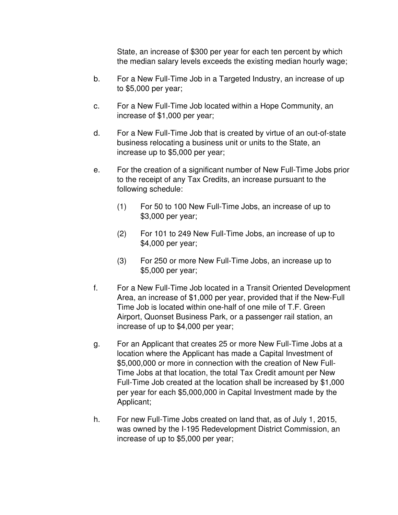State, an increase of \$300 per year for each ten percent by which the median salary levels exceeds the existing median hourly wage;

- b. For a New Full-Time Job in a Targeted Industry, an increase of up to \$5,000 per year;
- c. For a New Full-Time Job located within a Hope Community, an increase of \$1,000 per year;
- d. For a New Full-Time Job that is created by virtue of an out-of-state business relocating a business unit or units to the State, an increase up to \$5,000 per year;
- e. For the creation of a significant number of New Full-Time Jobs prior to the receipt of any Tax Credits, an increase pursuant to the following schedule:
	- (1) For 50 to 100 New Full-Time Jobs, an increase of up to \$3,000 per year;
	- (2) For 101 to 249 New Full-Time Jobs, an increase of up to \$4,000 per year;
	- (3) For 250 or more New Full-Time Jobs, an increase up to \$5,000 per year;
- f. For a New Full-Time Job located in a Transit Oriented Development Area, an increase of \$1,000 per year, provided that if the New-Full Time Job is located within one-half of one mile of T.F. Green Airport, Quonset Business Park, or a passenger rail station, an increase of up to \$4,000 per year;
- g. For an Applicant that creates 25 or more New Full-Time Jobs at a location where the Applicant has made a Capital Investment of \$5,000,000 or more in connection with the creation of New Full-Time Jobs at that location, the total Tax Credit amount per New Full-Time Job created at the location shall be increased by \$1,000 per year for each \$5,000,000 in Capital Investment made by the Applicant;
- h. For new Full-Time Jobs created on land that, as of July 1, 2015, was owned by the I-195 Redevelopment District Commission, an increase of up to \$5,000 per year;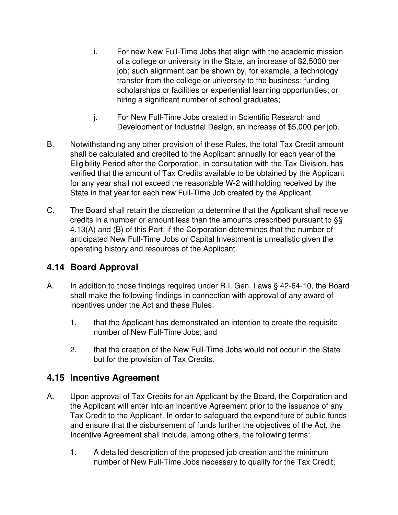- i. For new New Full-Time Jobs that align with the academic mission of a college or university in the State, an increase of \$2,5000 per job; such alignment can be shown by, for example, a technology transfer from the college or university to the business; funding scholarships or facilities or experiential learning opportunities; or hiring a significant number of school graduates;
- j. For New Full-Time Jobs created in Scientific Research and Development or Industrial Design, an increase of \$5,000 per job.
- B. Notwithstanding any other provision of these Rules, the total Tax Credit amount shall be calculated and credited to the Applicant annually for each year of the Eligibility Period after the Corporation, in consultation with the Tax Division, has verified that the amount of Tax Credits available to be obtained by the Applicant for any year shall not exceed the reasonable W-2 withholding received by the State in that year for each new Full-Time Job created by the Applicant.
- C. The Board shall retain the discretion to determine that the Applicant shall receive credits in a number or amount less than the amounts prescribed pursuant to §§ 4.13(A) and (B) of this Part, if the Corporation determines that the number of anticipated New Full-Time Jobs or Capital Investment is unrealistic given the operating history and resources of the Applicant.

# **4.14 Board Approval**

- A. In addition to those findings required under R.I. Gen. Laws § 42-64-10, the Board shall make the following findings in connection with approval of any award of incentives under the Act and these Rules:
	- 1. that the Applicant has demonstrated an intention to create the requisite number of New Full-Time Jobs; and
	- 2. that the creation of the New Full-Time Jobs would not occur in the State but for the provision of Tax Credits.

# **4.15 Incentive Agreement**

- A. Upon approval of Tax Credits for an Applicant by the Board, the Corporation and the Applicant will enter into an Incentive Agreement prior to the issuance of any Tax Credit to the Applicant. In order to safeguard the expenditure of public funds and ensure that the disbursement of funds further the objectives of the Act, the Incentive Agreement shall include, among others, the following terms:
	- 1. A detailed description of the proposed job creation and the minimum number of New Full-Time Jobs necessary to qualify for the Tax Credit;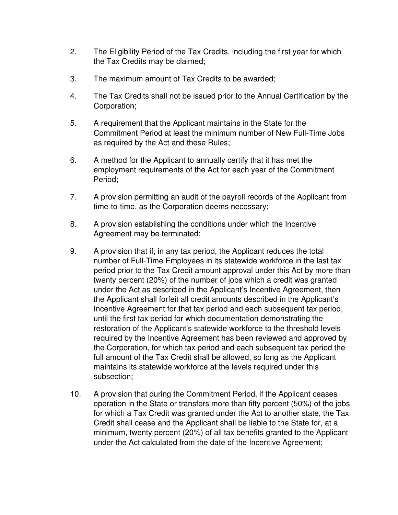- 2. The Eligibility Period of the Tax Credits, including the first year for which the Tax Credits may be claimed;
- 3. The maximum amount of Tax Credits to be awarded;
- 4. The Tax Credits shall not be issued prior to the Annual Certification by the Corporation;
- 5. A requirement that the Applicant maintains in the State for the Commitment Period at least the minimum number of New Full-Time Jobs as required by the Act and these Rules;
- 6. A method for the Applicant to annually certify that it has met the employment requirements of the Act for each year of the Commitment Period;
- 7. A provision permitting an audit of the payroll records of the Applicant from time-to-time, as the Corporation deems necessary;
- 8. A provision establishing the conditions under which the Incentive Agreement may be terminated;
- 9. A provision that if, in any tax period, the Applicant reduces the total number of Full-Time Employees in its statewide workforce in the last tax period prior to the Tax Credit amount approval under this Act by more than twenty percent (20%) of the number of jobs which a credit was granted under the Act as described in the Applicant's Incentive Agreement, then the Applicant shall forfeit all credit amounts described in the Applicant's Incentive Agreement for that tax period and each subsequent tax period, until the first tax period for which documentation demonstrating the restoration of the Applicant's statewide workforce to the threshold levels required by the Incentive Agreement has been reviewed and approved by the Corporation, for which tax period and each subsequent tax period the full amount of the Tax Credit shall be allowed, so long as the Applicant maintains its statewide workforce at the levels required under this subsection;
- 10. A provision that during the Commitment Period, if the Applicant ceases operation in the State or transfers more than fifty percent (50%) of the jobs for which a Tax Credit was granted under the Act to another state, the Tax Credit shall cease and the Applicant shall be liable to the State for, at a minimum, twenty percent (20%) of all tax benefits granted to the Applicant under the Act calculated from the date of the Incentive Agreement;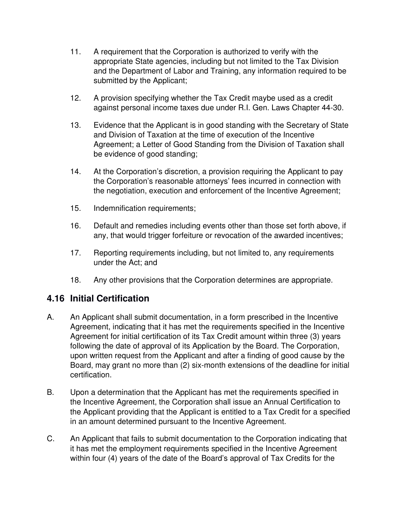- 11. A requirement that the Corporation is authorized to verify with the appropriate State agencies, including but not limited to the Tax Division and the Department of Labor and Training, any information required to be submitted by the Applicant;
- 12. A provision specifying whether the Tax Credit maybe used as a credit against personal income taxes due under R.I. Gen. Laws Chapter 44-30.
- 13. Evidence that the Applicant is in good standing with the Secretary of State and Division of Taxation at the time of execution of the Incentive Agreement; a Letter of Good Standing from the Division of Taxation shall be evidence of good standing;
- 14. At the Corporation's discretion, a provision requiring the Applicant to pay the Corporation's reasonable attorneys' fees incurred in connection with the negotiation, execution and enforcement of the Incentive Agreement;
- 15. Indemnification requirements;
- 16. Default and remedies including events other than those set forth above, if any, that would trigger forfeiture or revocation of the awarded incentives;
- 17. Reporting requirements including, but not limited to, any requirements under the Act; and
- 18. Any other provisions that the Corporation determines are appropriate.

## **4.16 Initial Certification**

- A. An Applicant shall submit documentation, in a form prescribed in the Incentive Agreement, indicating that it has met the requirements specified in the Incentive Agreement for initial certification of its Tax Credit amount within three (3) years following the date of approval of its Application by the Board. The Corporation, upon written request from the Applicant and after a finding of good cause by the Board, may grant no more than (2) six-month extensions of the deadline for initial certification.
- B. Upon a determination that the Applicant has met the requirements specified in the Incentive Agreement, the Corporation shall issue an Annual Certification to the Applicant providing that the Applicant is entitled to a Tax Credit for a specified in an amount determined pursuant to the Incentive Agreement.
- C. An Applicant that fails to submit documentation to the Corporation indicating that it has met the employment requirements specified in the Incentive Agreement within four (4) years of the date of the Board's approval of Tax Credits for the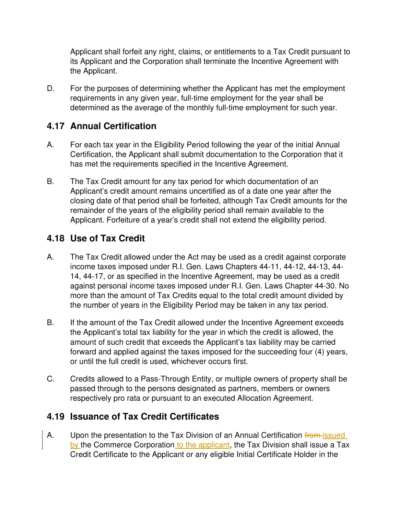Applicant shall forfeit any right, claims, or entitlements to a Tax Credit pursuant to its Applicant and the Corporation shall terminate the Incentive Agreement with the Applicant.

D. For the purposes of determining whether the Applicant has met the employment requirements in any given year, full-time employment for the year shall be determined as the average of the monthly full-time employment for such year.

# **4.17 Annual Certification**

- A. For each tax year in the Eligibility Period following the year of the initial Annual Certification, the Applicant shall submit documentation to the Corporation that it has met the requirements specified in the Incentive Agreement.
- B. The Tax Credit amount for any tax period for which documentation of an Applicant's credit amount remains uncertified as of a date one year after the closing date of that period shall be forfeited, although Tax Credit amounts for the remainder of the years of the eligibility period shall remain available to the Applicant. Forfeiture of a year's credit shall not extend the eligibility period.

# **4.18 Use of Tax Credit**

- A. The Tax Credit allowed under the Act may be used as a credit against corporate income taxes imposed under R.I. Gen. Laws Chapters 44-11, 44-12, 44-13, 44- 14, 44-17, or as specified in the Incentive Agreement, may be used as a credit against personal income taxes imposed under R.I. Gen. Laws Chapter 44-30. No more than the amount of Tax Credits equal to the total credit amount divided by the number of years in the Eligibility Period may be taken in any tax period.
- B. If the amount of the Tax Credit allowed under the Incentive Agreement exceeds the Applicant's total tax liability for the year in which the credit is allowed, the amount of such credit that exceeds the Applicant's tax liability may be carried forward and applied against the taxes imposed for the succeeding four (4) years, or until the full credit is used, whichever occurs first.
- C. Credits allowed to a Pass-Through Entity, or multiple owners of property shall be passed through to the persons designated as partners, members or owners respectively pro rata or pursuant to an executed Allocation Agreement.

# **4.19 Issuance of Tax Credit Certificates**

A. Upon the presentation to the Tax Division of an Annual Certification from issued by the Commerce Corporation to the applicant, the Tax Division shall issue a Tax Credit Certificate to the Applicant or any eligible Initial Certificate Holder in the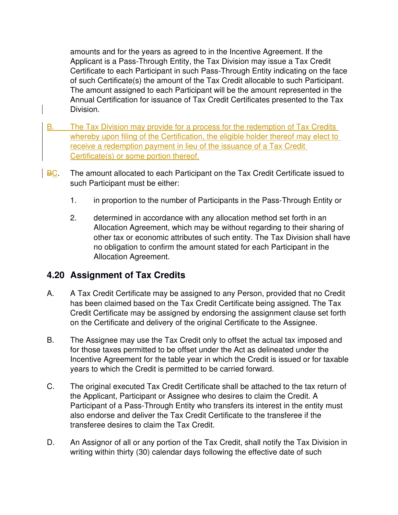amounts and for the years as agreed to in the Incentive Agreement. If the Applicant is a Pass-Through Entity, the Tax Division may issue a Tax Credit Certificate to each Participant in such Pass-Through Entity indicating on the face of such Certificate(s) the amount of the Tax Credit allocable to such Participant. The amount assigned to each Participant will be the amount represented in the Annual Certification for issuance of Tax Credit Certificates presented to the Tax Division.

- B. The Tax Division may provide for a process for the redemption of Tax Credits whereby upon filing of the Certification, the eligible holder thereof may elect to receive a redemption payment in lieu of the issuance of a Tax Credit Certificate(s) or some portion thereof.
- BC. The amount allocated to each Participant on the Tax Credit Certificate issued to such Participant must be either:
	- 1. in proportion to the number of Participants in the Pass-Through Entity or
	- 2. determined in accordance with any allocation method set forth in an Allocation Agreement, which may be without regarding to their sharing of other tax or economic attributes of such entity. The Tax Division shall have no obligation to confirm the amount stated for each Participant in the Allocation Agreement.

## **4.20 Assignment of Tax Credits**

- A. A Tax Credit Certificate may be assigned to any Person, provided that no Credit has been claimed based on the Tax Credit Certificate being assigned. The Tax Credit Certificate may be assigned by endorsing the assignment clause set forth on the Certificate and delivery of the original Certificate to the Assignee.
- B. The Assignee may use the Tax Credit only to offset the actual tax imposed and for those taxes permitted to be offset under the Act as delineated under the Incentive Agreement for the table year in which the Credit is issued or for taxable years to which the Credit is permitted to be carried forward.
- C. The original executed Tax Credit Certificate shall be attached to the tax return of the Applicant, Participant or Assignee who desires to claim the Credit. A Participant of a Pass-Through Entity who transfers its interest in the entity must also endorse and deliver the Tax Credit Certificate to the transferee if the transferee desires to claim the Tax Credit.
- D. An Assignor of all or any portion of the Tax Credit, shall notify the Tax Division in writing within thirty (30) calendar days following the effective date of such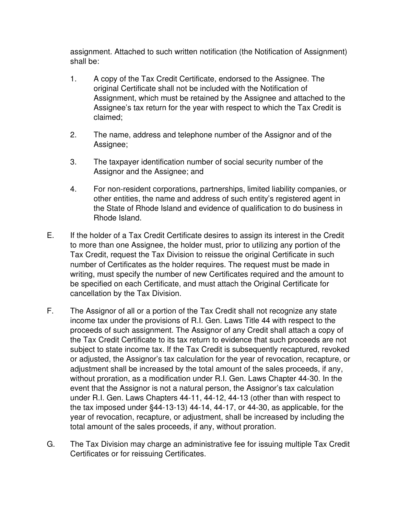assignment. Attached to such written notification (the Notification of Assignment) shall be:

- 1. A copy of the Tax Credit Certificate, endorsed to the Assignee. The original Certificate shall not be included with the Notification of Assignment, which must be retained by the Assignee and attached to the Assignee's tax return for the year with respect to which the Tax Credit is claimed;
- 2. The name, address and telephone number of the Assignor and of the Assignee;
- 3. The taxpayer identification number of social security number of the Assignor and the Assignee; and
- 4. For non-resident corporations, partnerships, limited liability companies, or other entities, the name and address of such entity's registered agent in the State of Rhode Island and evidence of qualification to do business in Rhode Island.
- E. If the holder of a Tax Credit Certificate desires to assign its interest in the Credit to more than one Assignee, the holder must, prior to utilizing any portion of the Tax Credit, request the Tax Division to reissue the original Certificate in such number of Certificates as the holder requires. The request must be made in writing, must specify the number of new Certificates required and the amount to be specified on each Certificate, and must attach the Original Certificate for cancellation by the Tax Division.
- F. The Assignor of all or a portion of the Tax Credit shall not recognize any state income tax under the provisions of R.I. Gen. Laws Title 44 with respect to the proceeds of such assignment. The Assignor of any Credit shall attach a copy of the Tax Credit Certificate to its tax return to evidence that such proceeds are not subject to state income tax. If the Tax Credit is subsequently recaptured, revoked or adjusted, the Assignor's tax calculation for the year of revocation, recapture, or adjustment shall be increased by the total amount of the sales proceeds, if any, without proration, as a modification under R.I. Gen. Laws Chapter 44-30. In the event that the Assignor is not a natural person, the Assignor's tax calculation under R.I. Gen. Laws Chapters 44-11, 44-12, 44-13 (other than with respect to the tax imposed under §44-13-13) 44-14, 44-17, or 44-30, as applicable, for the year of revocation, recapture, or adjustment, shall be increased by including the total amount of the sales proceeds, if any, without proration.
- G. The Tax Division may charge an administrative fee for issuing multiple Tax Credit Certificates or for reissuing Certificates.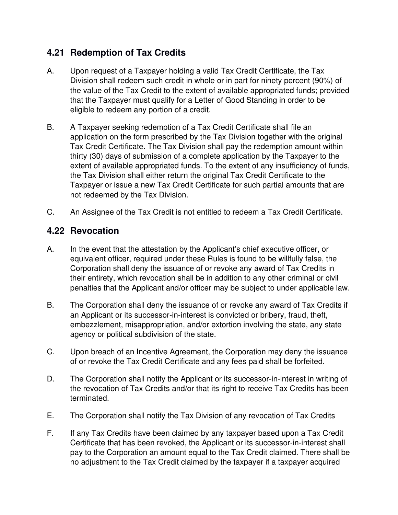# **4.21 Redemption of Tax Credits**

- A. Upon request of a Taxpayer holding a valid Tax Credit Certificate, the Tax Division shall redeem such credit in whole or in part for ninety percent (90%) of the value of the Tax Credit to the extent of available appropriated funds; provided that the Taxpayer must qualify for a Letter of Good Standing in order to be eligible to redeem any portion of a credit.
- B. A Taxpayer seeking redemption of a Tax Credit Certificate shall file an application on the form prescribed by the Tax Division together with the original Tax Credit Certificate. The Tax Division shall pay the redemption amount within thirty (30) days of submission of a complete application by the Taxpayer to the extent of available appropriated funds. To the extent of any insufficiency of funds, the Tax Division shall either return the original Tax Credit Certificate to the Taxpayer or issue a new Tax Credit Certificate for such partial amounts that are not redeemed by the Tax Division.
- C. An Assignee of the Tax Credit is not entitled to redeem a Tax Credit Certificate.

# **4.22 Revocation**

- A. In the event that the attestation by the Applicant's chief executive officer, or equivalent officer, required under these Rules is found to be willfully false, the Corporation shall deny the issuance of or revoke any award of Tax Credits in their entirety, which revocation shall be in addition to any other criminal or civil penalties that the Applicant and/or officer may be subject to under applicable law.
- B. The Corporation shall deny the issuance of or revoke any award of Tax Credits if an Applicant or its successor-in-interest is convicted or bribery, fraud, theft, embezzlement, misappropriation, and/or extortion involving the state, any state agency or political subdivision of the state.
- C. Upon breach of an Incentive Agreement, the Corporation may deny the issuance of or revoke the Tax Credit Certificate and any fees paid shall be forfeited.
- D. The Corporation shall notify the Applicant or its successor-in-interest in writing of the revocation of Tax Credits and/or that its right to receive Tax Credits has been terminated.
- E. The Corporation shall notify the Tax Division of any revocation of Tax Credits
- F. If any Tax Credits have been claimed by any taxpayer based upon a Tax Credit Certificate that has been revoked, the Applicant or its successor-in-interest shall pay to the Corporation an amount equal to the Tax Credit claimed. There shall be no adjustment to the Tax Credit claimed by the taxpayer if a taxpayer acquired